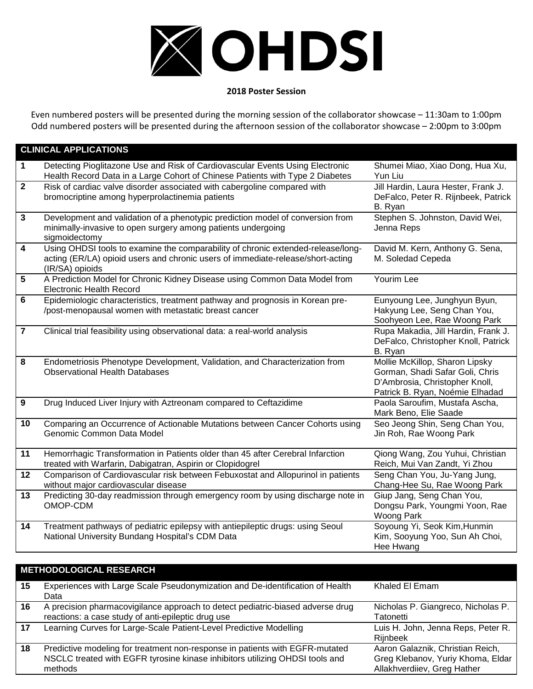

## **2018 Poster Session**

Even numbered posters will be presented during the morning session of the collaborator showcase – 11:30am to 1:00pm Odd numbered posters will be presented during the afternoon session of the collaborator showcase – 2:00pm to 3:00pm

## **CLINICAL APPLICATIONS 1** Detecting Pioglitazone Use and Risk of Cardiovascular Events Using Electronic Health Record Data in a Large Cohort of Chinese Patients with Type 2 Diabetes Shumei Miao, Xiao Dong, Hua Xu, Yun Liu **2** Risk of cardiac valve disorder associated with cabergoline compared with bromocriptine among hyperprolactinemia patients Jill Hardin, Laura Hester, Frank J. DeFalco, Peter R. Rijnbeek, Patrick B. Ryan **3** Development and validation of a phenotypic prediction model of conversion from minimally-invasive to open surgery among patients undergoing sigmoidectomy Stephen S. Johnston, David Wei, Jenna Reps **4** Using OHDSI tools to examine the comparability of chronic extended-release/longacting (ER/LA) opioid users and chronic users of immediate-release/short-acting (IR/SA) opioids David M. Kern, Anthony G. Sena, M. Soledad Cepeda **5** A Prediction Model for Chronic Kidney Disease using Common Data Model from Electronic Health Record Yourim Lee **6** Epidemiologic characteristics, treatment pathway and prognosis in Korean pre- /post-menopausal women with metastatic breast cancer Eunyoung Lee, Junghyun Byun, Hakyung Lee, Seng Chan You, Soohyeon Lee, Rae Woong Park<br>Rupa Makadia, Jill Hardin, Frank J. **7** Clinical trial feasibility using observational data: a real-world analysis DeFalco, Christopher Knoll, Patrick B. Ryan **8** Endometriosis Phenotype Development, Validation, and Characterization from Observational Health Databases Mollie McKillop, Sharon Lipsky Gorman, Shadi Safar Goli, Chris D'Ambrosia, Christopher Knoll, Patrick B. Ryan, Noémie Elhadad **9** Drug Induced Liver Injury with Aztreonam compared to Ceftazidime Paola Saroufim, Mustafa Ascha, Mark Beno, Elie Saade **10** Comparing an Occurrence of Actionable Mutations between Cancer Cohorts using Genomic Common Data Model Seo Jeong Shin, Seng Chan You, Jin Roh, Rae Woong Park **11** Hemorrhagic Transformation in Patients older than 45 after Cerebral Infarction treated with Warfarin, Dabigatran, Aspirin or Clopidogrel Qiong Wang, Zou Yuhui, Christian Reich, Mui Van Zandt, Yi Zhou **12** Comparison of Cardiovascular risk between Febuxostat and Allopurinol in patients without major cardiovascular disease Seng Chan You, Ju-Yang Jung, Chang-Hee Su, Rae Woong Park **13** Predicting 30-day readmission through emergency room by using discharge note in OMOP-CDM Giup Jang, Seng Chan You, Dongsu Park, Youngmi Yoon, Rae Woong Park **14** Treatment pathways of pediatric epilepsy with antiepileptic drugs: using Seoul National University Bundang Hospital's CDM Data Soyoung Yi, Seok Kim,Hunmin Kim, Sooyung Yoo, Sun Ah Choi, Hee Hwang

| <b>METHODOLOGICAL RESEARCH</b> |                                                                                                                                                                         |                                                                                                      |  |
|--------------------------------|-------------------------------------------------------------------------------------------------------------------------------------------------------------------------|------------------------------------------------------------------------------------------------------|--|
| 15                             | Experiences with Large Scale Pseudonymization and De-identification of Health<br>Data                                                                                   | Khaled El Emam                                                                                       |  |
| 16                             | A precision pharmacovigilance approach to detect pediatric-biased adverse drug<br>reactions: a case study of anti-epileptic drug use                                    | Nicholas P. Giangreco, Nicholas P.<br>Tatonetti                                                      |  |
| 17                             | Learning Curves for Large-Scale Patient-Level Predictive Modelling                                                                                                      | Luis H. John, Jenna Reps, Peter R.<br><b>Riinbeek</b>                                                |  |
| 18                             | Predictive modeling for treatment non-response in patients with EGFR-mutated<br>NSCLC treated with EGFR tyrosine kinase inhibitors utilizing OHDSI tools and<br>methods | Aaron Galaznik, Christian Reich,<br>Greg Klebanov, Yuriy Khoma, Eldar<br>Allakhverdiiev, Greg Hather |  |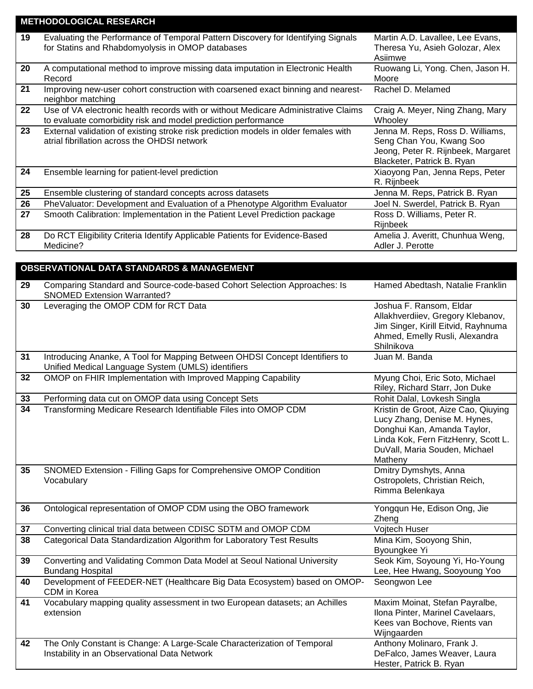| <b>METHODOLOGICAL RESEARCH</b> |                                                                                                                                                     |                                                                                                                                  |
|--------------------------------|-----------------------------------------------------------------------------------------------------------------------------------------------------|----------------------------------------------------------------------------------------------------------------------------------|
| 19                             | Evaluating the Performance of Temporal Pattern Discovery for Identifying Signals<br>for Statins and Rhabdomyolysis in OMOP databases                | Martin A.D. Lavallee, Lee Evans,<br>Theresa Yu, Asieh Golozar, Alex<br>Asiimwe                                                   |
| 20                             | A computational method to improve missing data imputation in Electronic Health<br>Record                                                            | Ruowang Li, Yong. Chen, Jason H.<br>Moore                                                                                        |
| 21                             | Improving new-user cohort construction with coarsened exact binning and nearest-<br>neighbor matching                                               | Rachel D. Melamed                                                                                                                |
| 22                             | Use of VA electronic health records with or without Medicare Administrative Claims<br>to evaluate comorbidity risk and model prediction performance | Craig A. Meyer, Ning Zhang, Mary<br>Whooley                                                                                      |
| 23                             | External validation of existing stroke risk prediction models in older females with<br>atrial fibrillation across the OHDSI network                 | Jenna M. Reps, Ross D. Williams,<br>Seng Chan You, Kwang Soo<br>Jeong, Peter R. Rijnbeek, Margaret<br>Blacketer, Patrick B. Ryan |
| 24                             | Ensemble learning for patient-level prediction                                                                                                      | Xiaoyong Pan, Jenna Reps, Peter<br>R. Rijnbeek                                                                                   |
| 25                             | Ensemble clustering of standard concepts across datasets                                                                                            | Jenna M. Reps, Patrick B. Ryan                                                                                                   |
| 26                             | PheValuator: Development and Evaluation of a Phenotype Algorithm Evaluator                                                                          | Joel N. Swerdel, Patrick B. Ryan                                                                                                 |
| 27                             | Smooth Calibration: Implementation in the Patient Level Prediction package                                                                          | Ross D. Williams, Peter R.<br>Rijnbeek                                                                                           |
| 28                             | Do RCT Eligibility Criteria Identify Applicable Patients for Evidence-Based<br>Medicine?                                                            | Amelia J. Averitt, Chunhua Weng,<br>Adler J. Perotte                                                                             |

## **OBSERVATIONAL DATA STANDARDS & MANAGEMENT**

| 29 | Comparing Standard and Source-code-based Cohort Selection Approaches: Is<br><b>SNOMED Extension Warranted?</b>                    | Hamed Abedtash, Natalie Franklin                                                                                                                                                      |
|----|-----------------------------------------------------------------------------------------------------------------------------------|---------------------------------------------------------------------------------------------------------------------------------------------------------------------------------------|
| 30 | Leveraging the OMOP CDM for RCT Data                                                                                              | Joshua F. Ransom, Eldar<br>Allakhverdiiev, Gregory Klebanov,<br>Jim Singer, Kirill Eitvid, Rayhnuma<br>Ahmed, Emelly Rusli, Alexandra<br>Shilnikova                                   |
| 31 | Introducing Ananke, A Tool for Mapping Between OHDSI Concept Identifiers to<br>Unified Medical Language System (UMLS) identifiers | Juan M. Banda                                                                                                                                                                         |
| 32 | OMOP on FHIR Implementation with Improved Mapping Capability                                                                      | Myung Choi, Eric Soto, Michael<br>Riley, Richard Starr, Jon Duke                                                                                                                      |
| 33 | Performing data cut on OMOP data using Concept Sets                                                                               | Rohit Dalal, Lovkesh Singla                                                                                                                                                           |
| 34 | Transforming Medicare Research Identifiable Files into OMOP CDM                                                                   | Kristin de Groot, Aize Cao, Qiuying<br>Lucy Zhang, Denise M. Hynes,<br>Donghui Kan, Amanda Taylor,<br>Linda Kok, Fern FitzHenry, Scott L.<br>DuVall, Maria Souden, Michael<br>Matheny |
| 35 | SNOMED Extension - Filling Gaps for Comprehensive OMOP Condition<br>Vocabulary                                                    | Dmitry Dymshyts, Anna<br>Ostropolets, Christian Reich,<br>Rimma Belenkaya                                                                                                             |
| 36 | Ontological representation of OMOP CDM using the OBO framework                                                                    | Yongqun He, Edison Ong, Jie<br>Zheng                                                                                                                                                  |
| 37 | Converting clinical trial data between CDISC SDTM and OMOP CDM                                                                    | Vojtech Huser                                                                                                                                                                         |
| 38 | Categorical Data Standardization Algorithm for Laboratory Test Results                                                            | Mina Kim, Sooyong Shin,<br>Byoungkee Yi                                                                                                                                               |
| 39 | Converting and Validating Common Data Model at Seoul National University<br><b>Bundang Hospital</b>                               | Seok Kim, Soyoung Yi, Ho-Young<br>Lee, Hee Hwang, Sooyoung Yoo                                                                                                                        |
| 40 | Development of FEEDER-NET (Healthcare Big Data Ecosystem) based on OMOP-<br>CDM in Korea                                          | Seongwon Lee                                                                                                                                                                          |
| 41 | Vocabulary mapping quality assessment in two European datasets; an Achilles<br>extension                                          | Maxim Moinat, Stefan Payralbe,<br>Ilona Pinter, Marinel Cavelaars,<br>Kees van Bochove, Rients van<br>Wijngaarden                                                                     |
| 42 | The Only Constant is Change: A Large-Scale Characterization of Temporal<br>Instability in an Observational Data Network           | Anthony Molinaro, Frank J.<br>DeFalco, James Weaver, Laura<br>Hester, Patrick B. Ryan                                                                                                 |